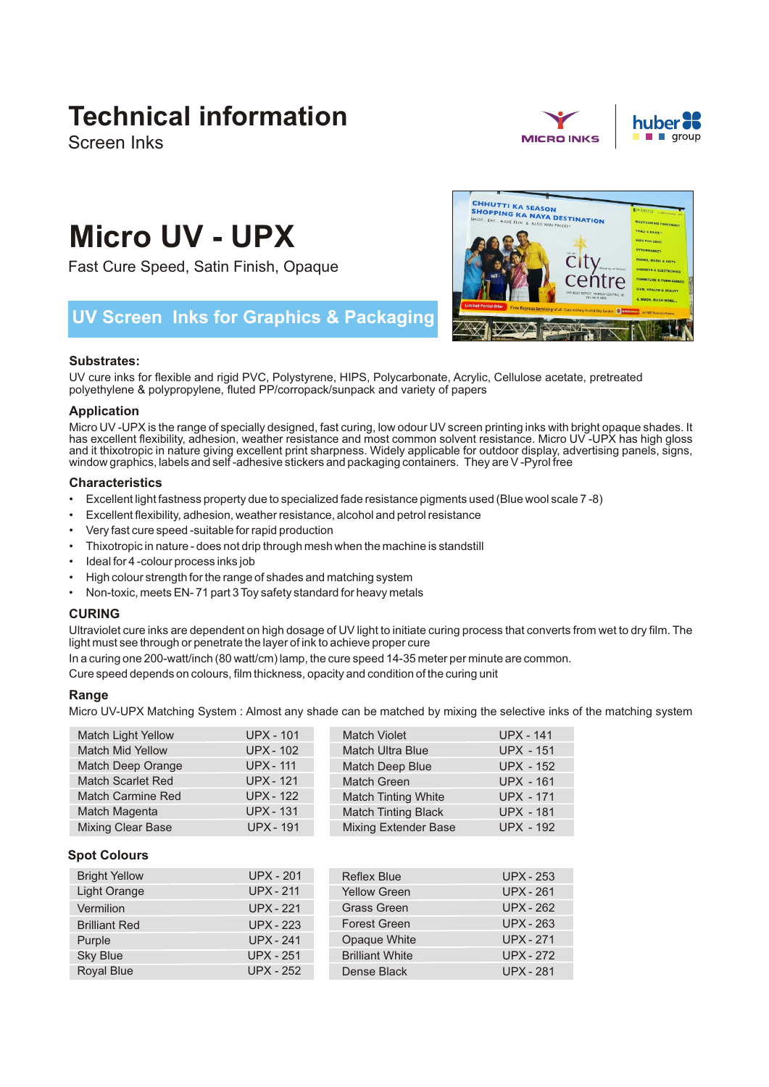# **Technical information**

Screen Inks



City

entre

**CHHUTTI KA SEASON<br>SHOPPING KA NAYA DESTINATION<br>SHOP... EAT... HAVE FUN & ALSO WIN** 



# **Micro UV - UPX**

Fast Cure Speed, Satin Finish, Opaque

# **UV Screen Inks for Graphics & Packaging**

# **Substrates:**

UV cure inks for flexible and rigid PVC, Polystyrene, HIPS, Polycarbonate, Acrylic, Cellulose acetate, pretreated polyethylene & polypropylene, fluted PP/corropack/sunpack and variety of papers

# **Application**

Micro UV -UPX is the range of specially designed, fast curing, low odour UV screen printing inks with bright opaque shades. It has excellent flexibility, adhesion, weather resistance and most common solvent resistance. Micro UV -UPX has high gloss and it thixotropic in nature giving excellent print sharpness. Widely applicable for outdoor display, advertising panels, signs, window graphics, labels and self -adhesive stickers and packaging containers. They are V -Pyrol free

# **Characteristics**

- Excellent light fastness property due to specialized fade resistance pigments used (Blue wool scale 7 -8)
- Excellent flexibility, adhesion, weather resistance, alcohol and petrol resistance
- Very fast cure speed -suitable for rapid production
- Thixotropic in nature does not drip through mesh when the machine is standstill
- Ideal for 4 -colour process inks job
- High colour strength for the range of shades and matching system
- Non-toxic, meets EN- 71 part 3 Toy safety standard for heavy metals

# **CURING**

Ultraviolet cure inks are dependent on high dosage of UV light to initiate curing process that converts from wet to dry film. The light must see through or penetrate the layer of ink to achieve proper cure

In a curing one 200-watt/inch (80 watt/cm) lamp, the cure speed 14-35 meter per minute are common.

Cure speed depends on colours, film thickness, opacity and condition of the curing unit

# **Range**

Micro UV-UPX Matching System : Almost any shade can be matched by mixing the selective inks of the matching system

| <b>Match Light Yellow</b> | <b>UPX - 101</b> | <b>Match Violet</b>         | <b>UPX - 141</b> |
|---------------------------|------------------|-----------------------------|------------------|
| <b>Match Mid Yellow</b>   | <b>UPX - 102</b> | <b>Match Ultra Blue</b>     | <b>UPX - 151</b> |
| Match Deep Orange         | <b>UPX - 111</b> | Match Deep Blue             | <b>UPX - 152</b> |
| <b>Match Scarlet Red</b>  | <b>UPX - 121</b> | <b>Match Green</b>          | <b>UPX - 161</b> |
| <b>Match Carmine Red</b>  | <b>UPX - 122</b> | <b>Match Tinting White</b>  | <b>UPX - 171</b> |
| Match Magenta             | <b>UPX - 131</b> | <b>Match Tinting Black</b>  | <b>UPX - 181</b> |
| <b>Mixing Clear Base</b>  | <b>UPX - 191</b> | <b>Mixing Extender Base</b> | <b>UPX - 192</b> |

# **Spot Colours**

| <b>Bright Yellow</b> | <b>UPX - 201</b> | <b>Reflex Blue</b>     | <b>UPX - 253</b> |
|----------------------|------------------|------------------------|------------------|
| Light Orange         | <b>UPX - 211</b> | <b>Yellow Green</b>    | <b>UPX - 261</b> |
| Vermilion            | <b>UPX - 221</b> | <b>Grass Green</b>     | <b>UPX - 262</b> |
| <b>Brilliant Red</b> | <b>UPX - 223</b> | <b>Forest Green</b>    | <b>UPX - 263</b> |
| Purple               | <b>UPX - 241</b> | Opaque White           | <b>UPX - 271</b> |
| <b>Sky Blue</b>      | <b>UPX - 251</b> | <b>Brilliant White</b> | <b>UPX - 272</b> |
| Royal Blue           | <b>UPX - 252</b> | Dense Black            | <b>UPX - 281</b> |